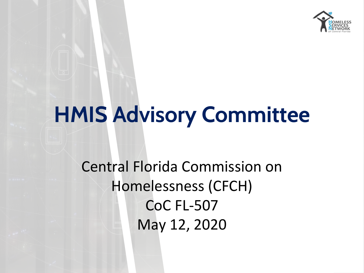

# **HMIS Advisory Committee**

Central Florida Commission on Homelessness (CFCH) CoC FL-507 May 12, 2020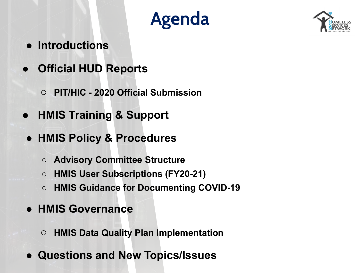# **Agenda**



- **Introductions**
- **● Official HUD Reports**
	- **○ PIT/HIC 2020 Official Submission**
- **● HMIS Training & Support**
- **● HMIS Policy & Procedures**
	- **○ Advisory Committee Structure**
	- **○ HMIS User Subscriptions (FY20-21)**
	- **○ HMIS Guidance for Documenting COVID-19**
- **● HMIS Governance**
	- **○ HMIS Data Quality Plan Implementation**
- **● Questions and New Topics/Issues**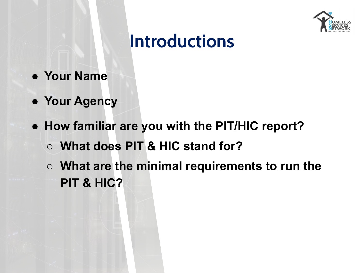

### **Introductions**

- **● Your Name**
- **● Your Agency**
- **● How familiar are you with the PIT/HIC report?**
	- **○ What does PIT & HIC stand for?**
	- **○ What are the minimal requirements to run the PIT & HIC?**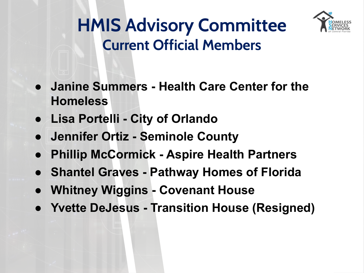

### **HMIS Advisory Committee Current Official Members**

- **● Janine Summers Health Care Center for the Homeless**
- **● Lisa Portelli City of Orlando**
- **● Jennifer Ortiz Seminole County**
- **Phillip McCormick Aspire Health Partners**
- **● Shantel Graves Pathway Homes of Florida**
- **● Whitney Wiggins Covenant House**
- **● Yvette DeJesus Transition House (Resigned)**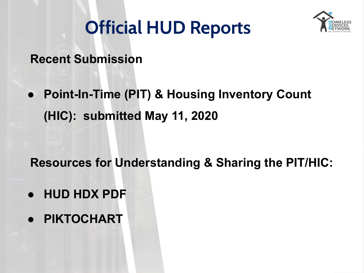### **Official HUD Reports**



**Recent Submission**

**● Point-In-Time (PIT) & Housing Inventory Count (HIC): submitted May 11, 2020** 

**Resources for Understanding & Sharing the PIT/HIC:**

- **● HUD HDX PDF**
- **● PIKTOCHART**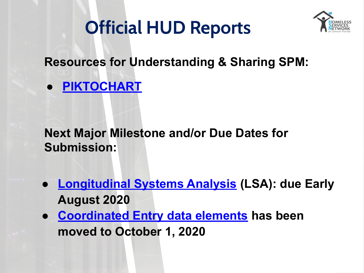### **Official HUD Reports**



#### **Resources for Understanding & Sharing SPM:**

**● [PIKTOCHART](https://create.piktochart.com/output/45638465-spm-2018-2019)**

**Next Major Milestone and/or Due Dates for Submission:**

- **[Longitudinal Systems Analysis](https://www.hudexchange.info/homelessness-assistance/lsa/) (LSA): due Early August 2020**
- **● [Coordinated Entry data elements](https://hudexchange.us5.list-manage.com/track/click?u=87d7c8afc03ba69ee70d865b9&id=a914b6f5e0&e=bf976ff5b3) has been moved to October 1, 2020**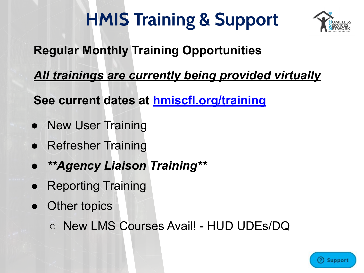# **HMIS Training & Support**



### **Regular Monthly Training Opportunities**

*All trainings are currently being provided virtually*

**See current dates at [hmiscfl.org/training](https://www.hmiscfl.org/training/)**

- New User Training
- Refresher Training
- *● \*\*Agency Liaison Training\*\**
- **Reporting Training**
- **Other topics** 
	- New LMS Courses Avail! HUD UDEs/DQ

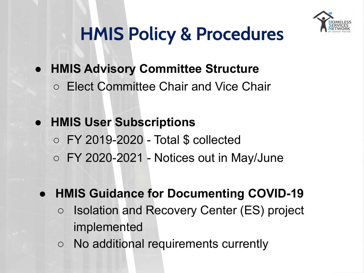

### **HMIS Policy & Procedures**

- **● HMIS Advisory Committee Structure**
	- Elect Committee Chair and Vice Chair
- **● HMIS User Subscriptions**
	- FY 2019-2020 Total \$ collected
	- FY 2020-2021 Notices out in May/June
	- **● HMIS Guidance for Documenting COVID-19**
		- **○** Isolation and Recovery Center (ES) project implemented
		- No additional requirements currently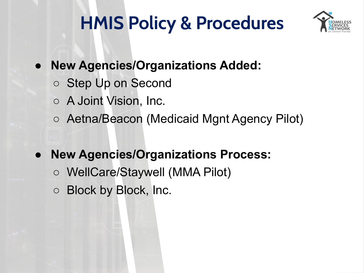# **HMIS Policy & Procedures**



- **● New Agencies/Organizations Added:**
	- Step Up on Second
	- A Joint Vision, Inc.
	- Aetna/Beacon (Medicaid Mgnt Agency Pilot)
- **New Agencies/Organizations Process:**
	- WellCare/Staywell (MMA Pilot)
	- Block by Block, Inc.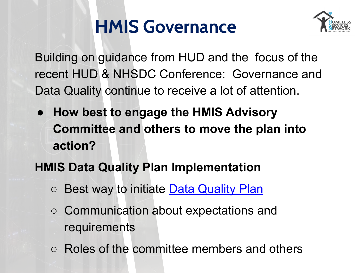### **HMIS Governance**



Building on guidance from HUD and the focus of the recent HUD & NHSDC Conference: Governance and Data Quality continue to receive a lot of attention.

**● How best to engage the HMIS Advisory Committee and others to move the plan into action?**

#### **HMIS Data Quality Plan Implementation**

- Best way to initiate **Data Quality Plan**
- Communication about expectations and requirements
- Roles of the committee members and others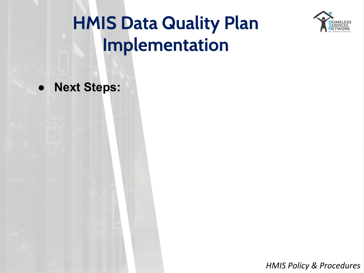

## **HMIS Data Quality Plan Implementation**

● **Next Steps:**

*HMIS Policy & Procedures*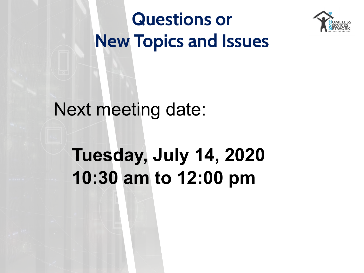

**Questions or New Topics and Issues**

### Next meeting date:

# **Tuesday, July 14, 2020 10:30 am to 12:00 pm**